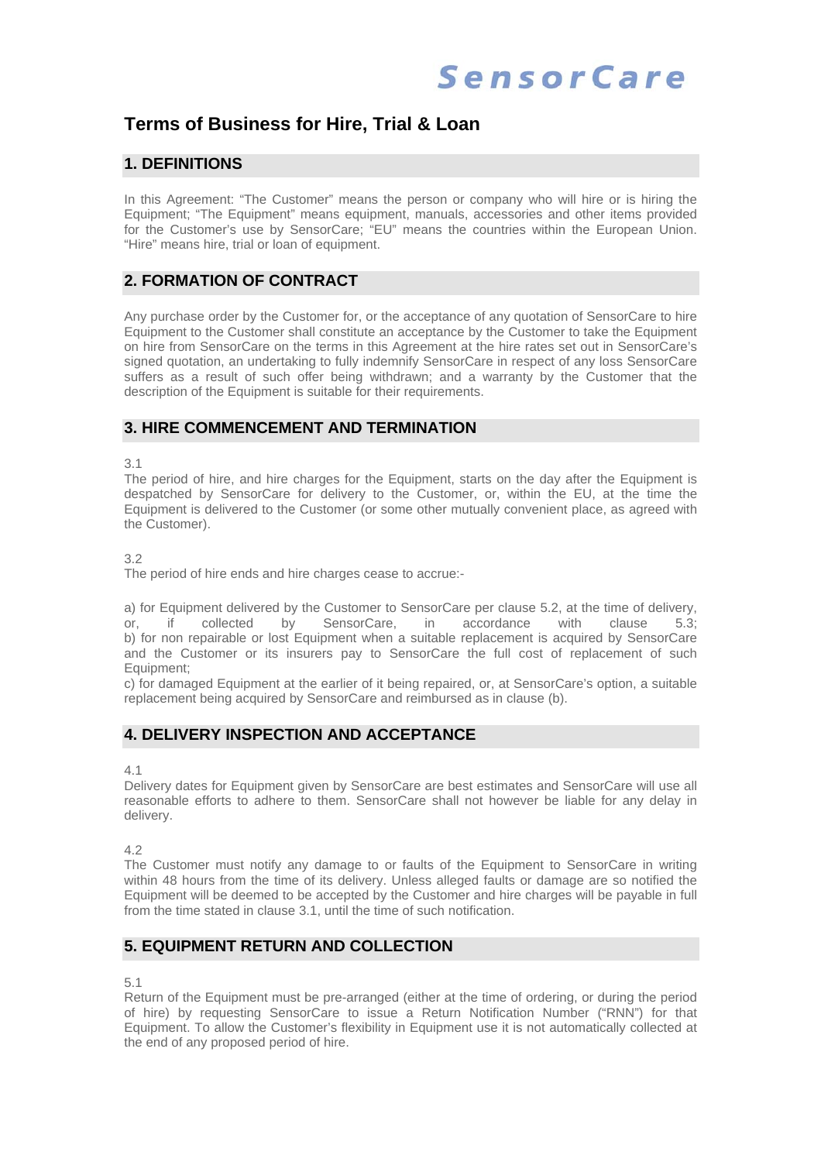# **Terms of Business for Hire, Trial & Loan**

### **1. DEFINITIONS**

In this Agreement: "The Customer" means the person or company who will hire or is hiring the Equipment; "The Equipment" means equipment, manuals, accessories and other items provided for the Customer's use by SensorCare; "EU" means the countries within the European Union. "Hire" means hire, trial or loan of equipment.

## **2. FORMATION OF CONTRACT**

Any purchase order by the Customer for, or the acceptance of any quotation of SensorCare to hire Equipment to the Customer shall constitute an acceptance by the Customer to take the Equipment on hire from SensorCare on the terms in this Agreement at the hire rates set out in SensorCare's signed quotation, an undertaking to fully indemnify SensorCare in respect of any loss SensorCare suffers as a result of such offer being withdrawn; and a warranty by the Customer that the description of the Equipment is suitable for their requirements.

### **3. HIRE COMMENCEMENT AND TERMINATION**

3.1

The period of hire, and hire charges for the Equipment, starts on the day after the Equipment is despatched by SensorCare for delivery to the Customer, or, within the EU, at the time the Equipment is delivered to the Customer (or some other mutually convenient place, as agreed with the Customer).

3.2

The period of hire ends and hire charges cease to accrue:-

a) for Equipment delivered by the Customer to SensorCare per clause 5.2, at the time of delivery, or, if collected by SensorCare, in accordance with clause 5.3; b) for non repairable or lost Equipment when a suitable replacement is acquired by SensorCare and the Customer or its insurers pay to SensorCare the full cost of replacement of such Equipment;

c) for damaged Equipment at the earlier of it being repaired, or, at SensorCare's option, a suitable replacement being acquired by SensorCare and reimbursed as in clause (b).

### **4. DELIVERY INSPECTION AND ACCEPTANCE**

4.1

Delivery dates for Equipment given by SensorCare are best estimates and SensorCare will use all reasonable efforts to adhere to them. SensorCare shall not however be liable for any delay in delivery.

4.2

The Customer must notify any damage to or faults of the Equipment to SensorCare in writing within 48 hours from the time of its delivery. Unless alleged faults or damage are so notified the Equipment will be deemed to be accepted by the Customer and hire charges will be payable in full from the time stated in clause 3.1, until the time of such notification.

### **5. EQUIPMENT RETURN AND COLLECTION**

5.1

Return of the Equipment must be pre-arranged (either at the time of ordering, or during the period of hire) by requesting SensorCare to issue a Return Notification Number ("RNN") for that Equipment. To allow the Customer's flexibility in Equipment use it is not automatically collected at the end of any proposed period of hire.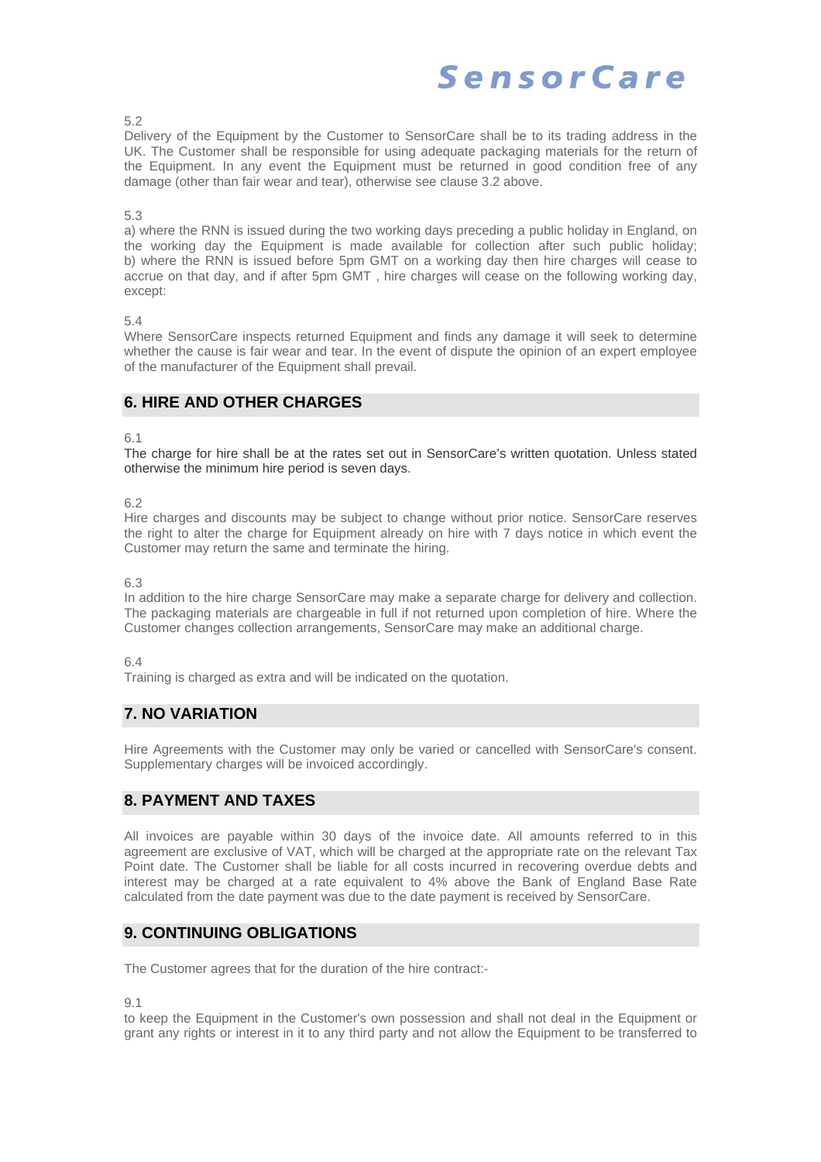5.2

Delivery of the Equipment by the Customer to SensorCare shall be to its trading address in the UK. The Customer shall be responsible for using adequate packaging materials for the return of the Equipment. In any event the Equipment must be returned in good condition free of any damage (other than fair wear and tear), otherwise see clause 3.2 above.

#### 5.3

a) where the RNN is issued during the two working days preceding a public holiday in England, on the working day the Equipment is made available for collection after such public holiday; b) where the RNN is issued before 5pm GMT on a working day then hire charges will cease to accrue on that day, and if after 5pm GMT , hire charges will cease on the following working day, except:

#### 5.4

Where SensorCare inspects returned Equipment and finds any damage it will seek to determine whether the cause is fair wear and tear. In the event of dispute the opinion of an expert employee of the manufacturer of the Equipment shall prevail.

## **6. HIRE AND OTHER CHARGES**

6.1

The charge for hire shall be at the rates set out in SensorCare's written quotation. Unless stated otherwise the minimum hire period is seven days.

6.2

Hire charges and discounts may be subject to change without prior notice. SensorCare reserves the right to alter the charge for Equipment already on hire with 7 days notice in which event the Customer may return the same and terminate the hiring.

6.3

In addition to the hire charge SensorCare may make a separate charge for delivery and collection. The packaging materials are chargeable in full if not returned upon completion of hire. Where the Customer changes collection arrangements, SensorCare may make an additional charge.

#### 6.4

Training is charged as extra and will be indicated on the quotation.

# **7. NO VARIATION**

Hire Agreements with the Customer may only be varied or cancelled with SensorCare's consent. Supplementary charges will be invoiced accordingly.

### **8. PAYMENT AND TAXES**

All invoices are payable within 30 days of the invoice date. All amounts referred to in this agreement are exclusive of VAT, which will be charged at the appropriate rate on the relevant Tax Point date. The Customer shall be liable for all costs incurred in recovering overdue debts and interest may be charged at a rate equivalent to 4% above the Bank of England Base Rate calculated from the date payment was due to the date payment is received by SensorCare.

### **9. CONTINUING OBLIGATIONS**

The Customer agrees that for the duration of the hire contract:-

9.1

to keep the Equipment in the Customer's own possession and shall not deal in the Equipment or grant any rights or interest in it to any third party and not allow the Equipment to be transferred to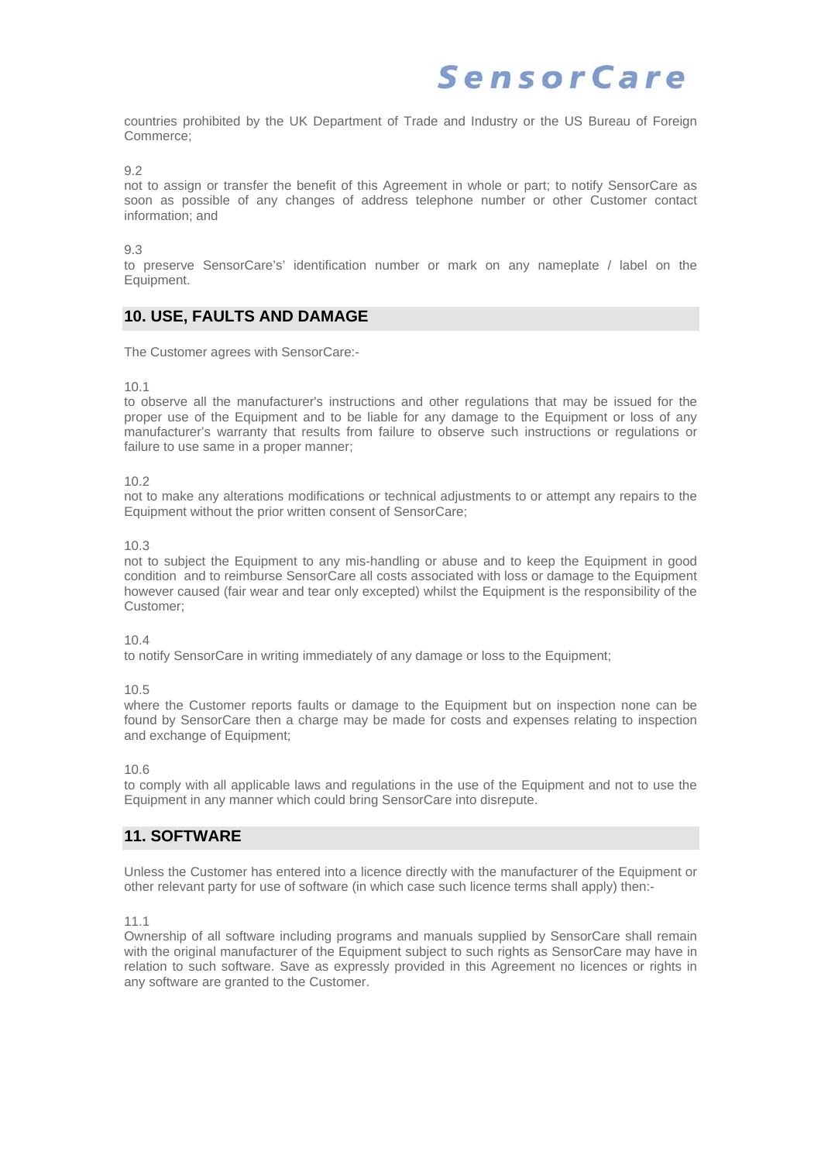countries prohibited by the UK Department of Trade and Industry or the US Bureau of Foreign Commerce;

 $Q<sub>2</sub>$ 

not to assign or transfer the benefit of this Agreement in whole or part; to notify SensorCare as soon as possible of any changes of address telephone number or other Customer contact information; and

 $9.3$ 

to preserve SensorCare's' identification number or mark on any nameplate / label on the Equipment.

### **10. USE, FAULTS AND DAMAGE**

The Customer agrees with SensorCare:-

10.1

to observe all the manufacturer's instructions and other regulations that may be issued for the proper use of the Equipment and to be liable for any damage to the Equipment or loss of any manufacturer's warranty that results from failure to observe such instructions or regulations or failure to use same in a proper manner:

10.2

not to make any alterations modifications or technical adjustments to or attempt any repairs to the Equipment without the prior written consent of SensorCare;

10.3

not to subject the Equipment to any mis-handling or abuse and to keep the Equipment in good condition and to reimburse SensorCare all costs associated with loss or damage to the Equipment however caused (fair wear and tear only excepted) whilst the Equipment is the responsibility of the Customer;

10.4

to notify SensorCare in writing immediately of any damage or loss to the Equipment;

10.5

where the Customer reports faults or damage to the Equipment but on inspection none can be found by SensorCare then a charge may be made for costs and expenses relating to inspection and exchange of Equipment;

10.6

to comply with all applicable laws and regulations in the use of the Equipment and not to use the Equipment in any manner which could bring SensorCare into disrepute.

### **11. SOFTWARE**

Unless the Customer has entered into a licence directly with the manufacturer of the Equipment or other relevant party for use of software (in which case such licence terms shall apply) then:-

11.1

Ownership of all software including programs and manuals supplied by SensorCare shall remain with the original manufacturer of the Equipment subject to such rights as SensorCare may have in relation to such software. Save as expressly provided in this Agreement no licences or rights in any software are granted to the Customer.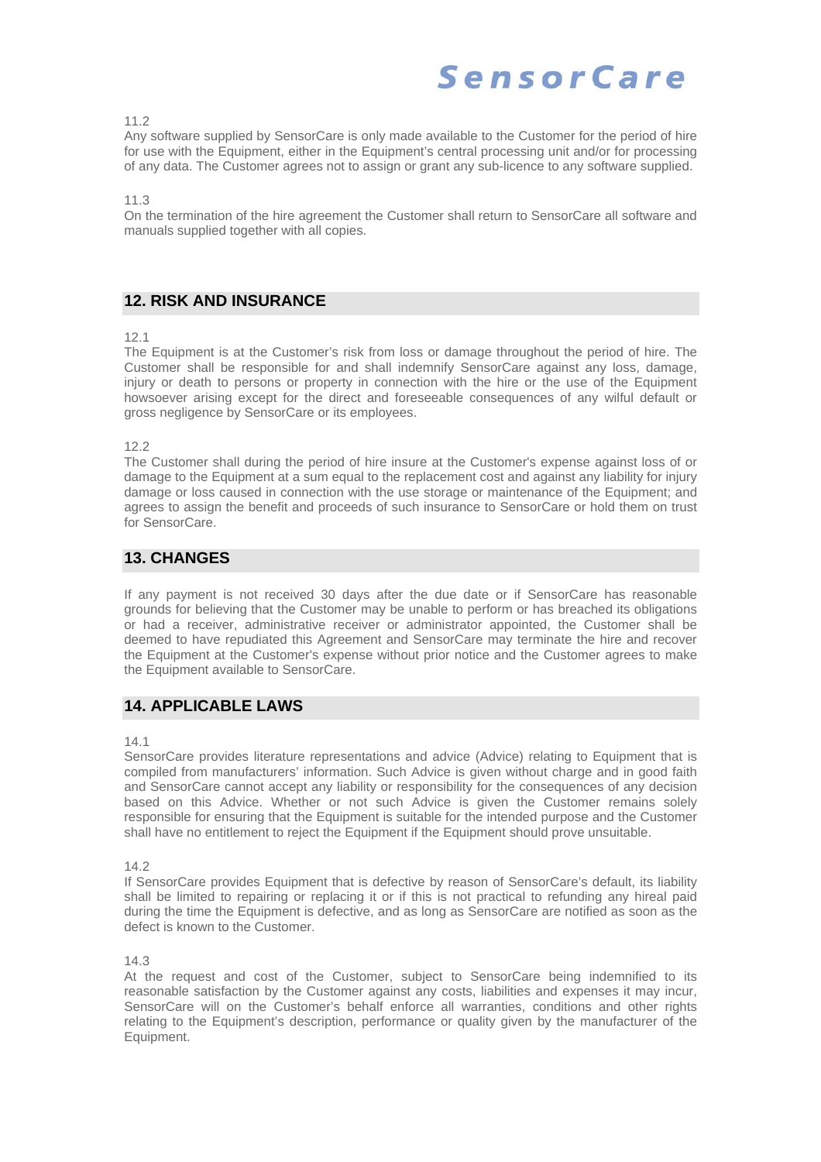11.2

Any software supplied by SensorCare is only made available to the Customer for the period of hire for use with the Equipment, either in the Equipment's central processing unit and/or for processing of any data. The Customer agrees not to assign or grant any sub-licence to any software supplied.

11.3

On the termination of the hire agreement the Customer shall return to SensorCare all software and manuals supplied together with all copies.

## **12. RISK AND INSURANCE**

#### 12.1

The Equipment is at the Customer's risk from loss or damage throughout the period of hire. The Customer shall be responsible for and shall indemnify SensorCare against any loss, damage, injury or death to persons or property in connection with the hire or the use of the Equipment howsoever arising except for the direct and foreseeable consequences of any wilful default or gross negligence by SensorCare or its employees.

12.2

The Customer shall during the period of hire insure at the Customer's expense against loss of or damage to the Equipment at a sum equal to the replacement cost and against any liability for injury damage or loss caused in connection with the use storage or maintenance of the Equipment; and agrees to assign the benefit and proceeds of such insurance to SensorCare or hold them on trust for SensorCare.

## **13. CHANGES**

If any payment is not received 30 days after the due date or if SensorCare has reasonable grounds for believing that the Customer may be unable to perform or has breached its obligations or had a receiver, administrative receiver or administrator appointed, the Customer shall be deemed to have repudiated this Agreement and SensorCare may terminate the hire and recover the Equipment at the Customer's expense without prior notice and the Customer agrees to make the Equipment available to SensorCare.

# **14. APPLICABLE LAWS**

#### 14.1

SensorCare provides literature representations and advice (Advice) relating to Equipment that is compiled from manufacturers' information. Such Advice is given without charge and in good faith and SensorCare cannot accept any liability or responsibility for the consequences of any decision based on this Advice. Whether or not such Advice is given the Customer remains solely responsible for ensuring that the Equipment is suitable for the intended purpose and the Customer shall have no entitlement to reject the Equipment if the Equipment should prove unsuitable.

14.2

If SensorCare provides Equipment that is defective by reason of SensorCare's default, its liability shall be limited to repairing or replacing it or if this is not practical to refunding any hireal paid during the time the Equipment is defective, and as long as SensorCare are notified as soon as the defect is known to the Customer.

14.3

At the request and cost of the Customer, subject to SensorCare being indemnified to its reasonable satisfaction by the Customer against any costs, liabilities and expenses it may incur, SensorCare will on the Customer's behalf enforce all warranties, conditions and other rights relating to the Equipment's description, performance or quality given by the manufacturer of the Equipment.